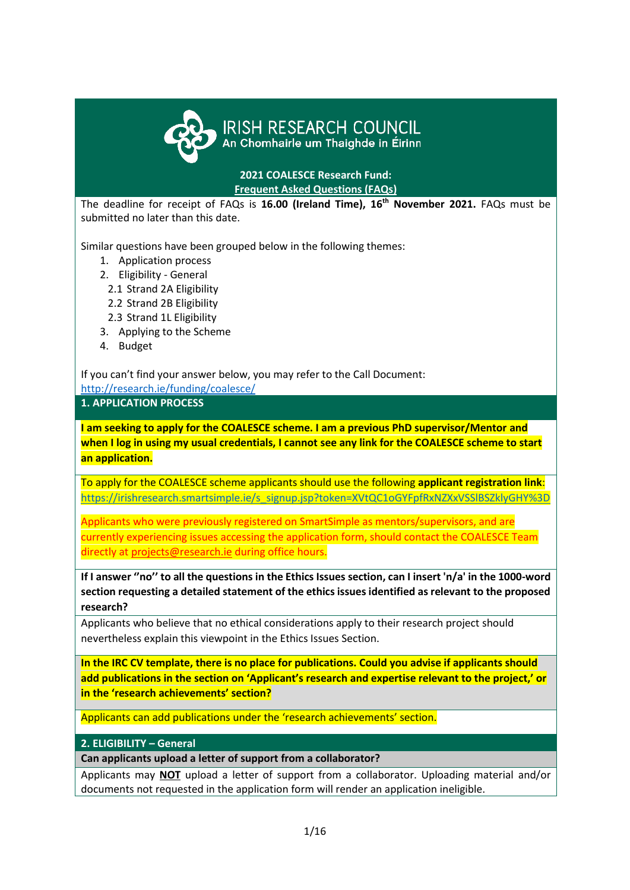

# IRISH RESEARCH COUNCIL<br>An Chomhairle um Thaighde in Éirinn

**2021 COALESCE Research Fund: Frequent Asked Questions (FAQs)**

The deadline for receipt of FAQs is **16.00 (Ireland Time), 16 th November 2021.** FAQs must be submitted no later than this date.

Similar questions have been grouped below in the following themes:

- 1. Application process
- 2. Eligibility General
	- 2.1 Strand 2A Eligibility
	- 2.2 Strand 2B Eligibility
	- 2.3 Strand 1L Eligibility
- 3. Applying to the Scheme
- 4. Budget

If you can't find your answer below, you may refer to the Call Document:

<http://research.ie/funding/coalesce/>

**1. APPLICATION PROCESS**

**I am seeking to apply for the COALESCE scheme. I am a previous PhD supervisor/Mentor and when I log in using my usual credentials, I cannot see any link for the COALESCE scheme to start an application.** 

To apply for the COALESCE scheme applicants should use the following **applicant registration link**: [https://irishresearch.smartsimple.ie/s\\_signup.jsp?token=XVtQC1oGYFpfRxNZXxVSSlBSZklyGHY%3D](https://irishresearch.smartsimple.ie/s_signup.jsp?token=XVtQC1oGYFpfRxNZXxVSSlBSZklyGHY%3D)

Applicants who were previously registered on SmartSimple as mentors/supervisors, and are currently experiencing issues accessing the application form, should contact the COALESCE Team directly at [projects@research.ie](mailto:projects@research.ie) during office hours.

**If I answer ''no'' to all the questions in the Ethics Issues section, can I insert 'n/a' in the 1000-word section requesting a detailed statement of the ethics issues identified as relevant to the proposed research?**

Applicants who believe that no ethical considerations apply to their research project should nevertheless explain this viewpoint in the Ethics Issues Section.

**In the IRC CV template, there is no place for publications. Could you advise if applicants should add publications in the section on 'Applicant's research and expertise relevant to the project,' or in the 'research achievements' section?**

Applicants can add publications under the 'research achievements' section.

**2. ELIGIBILITY – General** 

**Can applicants upload a letter of support from a collaborator?**

Applicants may **NOT** upload a letter of support from a collaborator. Uploading material and/or documents not requested in the application form will render an application ineligible.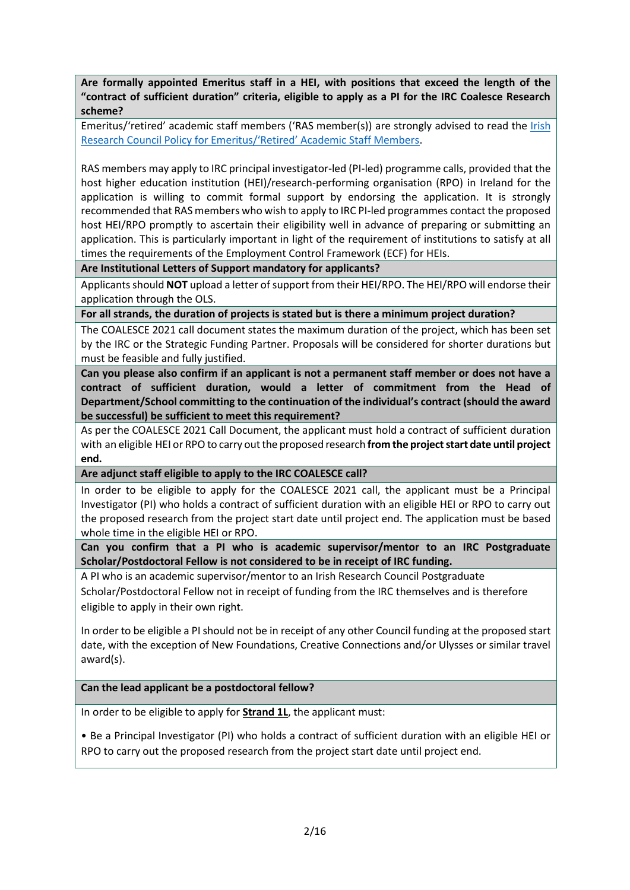**Are formally appointed Emeritus staff in a HEI, with positions that exceed the length of the "contract of sufficient duration" criteria, eligible to apply as a PI for the IRC Coalesce Research scheme?**

Emeritus/'retired' academic staff members ('RAS member(s)) are strongly advised to read the Irish [Research Council Policy for Emeritus/'Retired' Academic Staff Members](https://research.ie/assets/uploads/2017/05/IRC-Policy-for-Retired-Researchers_Final.pdf).

RAS members may apply to IRC principal investigator-led (PI-led) programme calls, provided that the host higher education institution (HEI)/research-performing organisation (RPO) in Ireland for the application is willing to commit formal support by endorsing the application. It is strongly recommended that RAS members who wish to apply to IRC PI-led programmes contact the proposed host HEI/RPO promptly to ascertain their eligibility well in advance of preparing or submitting an application. This is particularly important in light of the requirement of institutions to satisfy at all times the requirements of the Employment Control Framework (ECF) for HEIs.

**Are Institutional Letters of Support mandatory for applicants?** 

Applicants should **NOT** upload a letter of support from their HEI/RPO. The HEI/RPO will endorse their application through the OLS.

**For all strands, the duration of projects is stated but is there a minimum project duration?**

The COALESCE 2021 call document states the maximum duration of the project, which has been set by the IRC or the Strategic Funding Partner. Proposals will be considered for shorter durations but must be feasible and fully justified.

**Can you please also confirm if an applicant is not a permanent staff member or does not have a contract of sufficient duration, would a letter of commitment from the Head of Department/School committing to the continuation of the individual's contract (should the award be successful) be sufficient to meet this requirement?**

As per the COALESCE 2021 Call Document, the applicant must hold a contract of sufficient duration with an eligible HEI or RPO to carry out the proposed research **from the project start date until project end.**

**Are adjunct staff eligible to apply to the IRC COALESCE call?**

In order to be eligible to apply for the COALESCE 2021 call, the applicant must be a Principal Investigator (PI) who holds a contract of sufficient duration with an eligible HEI or RPO to carry out the proposed research from the project start date until project end. The application must be based whole time in the eligible HEI or RPO.

**Can you confirm that a PI who is academic supervisor/mentor to an IRC Postgraduate Scholar/Postdoctoral Fellow is not considered to be in receipt of IRC funding.**

A PI who is an academic supervisor/mentor to an Irish Research Council Postgraduate Scholar/Postdoctoral Fellow not in receipt of funding from the IRC themselves and is therefore eligible to apply in their own right.

In order to be eligible a PI should not be in receipt of any other Council funding at the proposed start date, with the exception of New Foundations, Creative Connections and/or Ulysses or similar travel award(s).

**Can the lead applicant be a postdoctoral fellow?**

In order to be eligible to apply for **Strand 1L**, the applicant must:

• Be a Principal Investigator (PI) who holds a contract of sufficient duration with an eligible HEI or RPO to carry out the proposed research from the project start date until project end.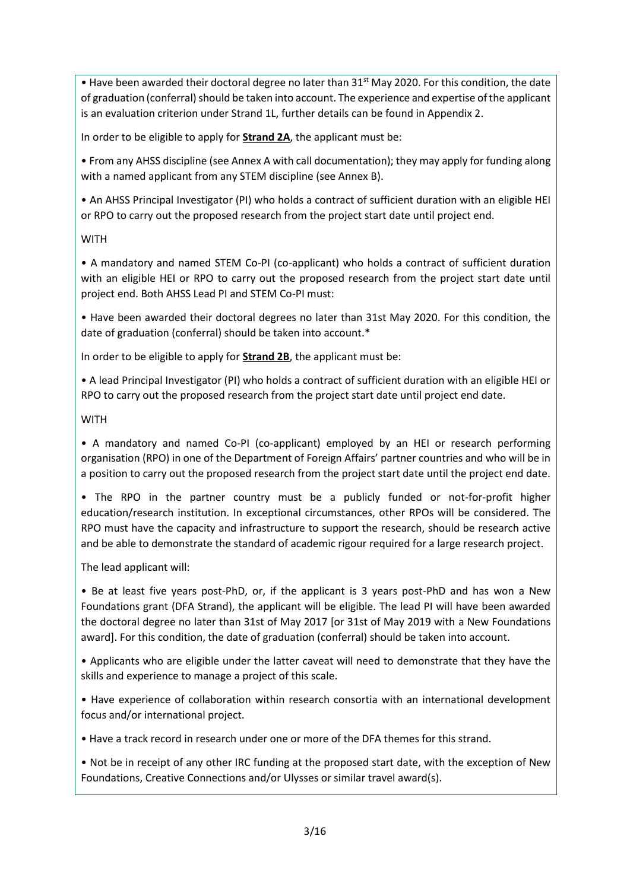• Have been awarded their doctoral degree no later than  $31^{st}$  May 2020. For this condition, the date of graduation (conferral) should be taken into account. The experience and expertise of the applicant is an evaluation criterion under Strand 1L, further details can be found in Appendix 2.

In order to be eligible to apply for **Strand 2A**, the applicant must be:

• From any AHSS discipline (see Annex A with call documentation); they may apply for funding along with a named applicant from any STEM discipline (see Annex B).

• An AHSS Principal Investigator (PI) who holds a contract of sufficient duration with an eligible HEI or RPO to carry out the proposed research from the project start date until project end.

# **WITH**

• A mandatory and named STEM Co-PI (co-applicant) who holds a contract of sufficient duration with an eligible HEI or RPO to carry out the proposed research from the project start date until project end. Both AHSS Lead PI and STEM Co-PI must:

• Have been awarded their doctoral degrees no later than 31st May 2020. For this condition, the date of graduation (conferral) should be taken into account.\*

In order to be eligible to apply for **Strand 2B**, the applicant must be:

• A lead Principal Investigator (PI) who holds a contract of sufficient duration with an eligible HEI or RPO to carry out the proposed research from the project start date until project end date.

# **WITH**

• A mandatory and named Co-PI (co-applicant) employed by an HEI or research performing organisation (RPO) in one of the Department of Foreign Affairs' partner countries and who will be in a position to carry out the proposed research from the project start date until the project end date.

• The RPO in the partner country must be a publicly funded or not-for-profit higher education/research institution. In exceptional circumstances, other RPOs will be considered. The RPO must have the capacity and infrastructure to support the research, should be research active and be able to demonstrate the standard of academic rigour required for a large research project.

The lead applicant will:

• Be at least five years post-PhD, or, if the applicant is 3 years post-PhD and has won a New Foundations grant (DFA Strand), the applicant will be eligible. The lead PI will have been awarded the doctoral degree no later than 31st of May 2017 [or 31st of May 2019 with a New Foundations award]. For this condition, the date of graduation (conferral) should be taken into account.

• Applicants who are eligible under the latter caveat will need to demonstrate that they have the skills and experience to manage a project of this scale.

• Have experience of collaboration within research consortia with an international development focus and/or international project.

• Have a track record in research under one or more of the DFA themes for this strand.

• Not be in receipt of any other IRC funding at the proposed start date, with the exception of New Foundations, Creative Connections and/or Ulysses or similar travel award(s).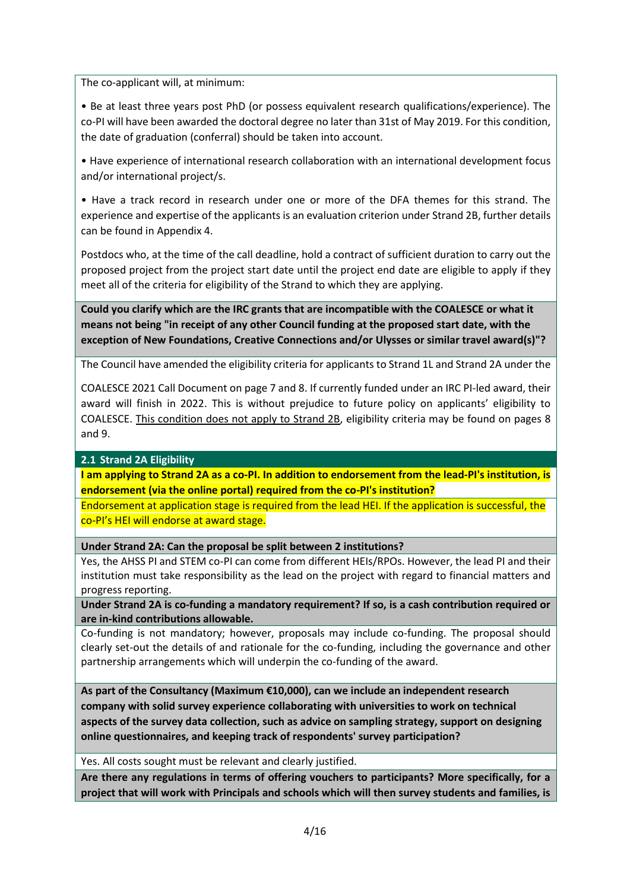The co-applicant will, at minimum:

• Be at least three years post PhD (or possess equivalent research qualifications/experience). The co-PI will have been awarded the doctoral degree no later than 31st of May 2019. For this condition, the date of graduation (conferral) should be taken into account.

• Have experience of international research collaboration with an international development focus and/or international project/s.

• Have a track record in research under one or more of the DFA themes for this strand. The experience and expertise of the applicants is an evaluation criterion under Strand 2B, further details can be found in Appendix 4.

Postdocs who, at the time of the call deadline, hold a contract of sufficient duration to carry out the proposed project from the project start date until the project end date are eligible to apply if they meet all of the criteria for eligibility of the Strand to which they are applying.

**Could you clarify which are the IRC grants that are incompatible with the COALESCE or what it means not being "in receipt of any other Council funding at the proposed start date, with the exception of New Foundations, Creative Connections and/or Ulysses or similar travel award(s)"?**

The Council have amended the eligibility criteria for applicants to Strand 1L and Strand 2A under the

COALESCE 2021 Call Document on page 7 and 8. If currently funded under an IRC PI-led award, their award will finish in 2022. This is without prejudice to future policy on applicants' eligibility to COALESCE. This condition does not apply to Strand 2B, eligibility criteria may be found on pages 8 and 9.

**2.1 Strand 2A Eligibility**

**I am applying to Strand 2A as a co-PI. In addition to endorsement from the lead-PI's institution, is endorsement (via the online portal) required from the co-PI's institution?**

Endorsement at application stage is required from the lead HEI. If the application is successful, the co-PI's HEI will endorse at award stage.

#### **Under Strand 2A: Can the proposal be split between 2 institutions?**

Yes, the AHSS PI and STEM co-PI can come from different HEIs/RPOs. However, the lead PI and their institution must take responsibility as the lead on the project with regard to financial matters and progress reporting.

**Under Strand 2A is co-funding a mandatory requirement? If so, is a cash contribution required or are in-kind contributions allowable.**

Co-funding is not mandatory; however, proposals may include co-funding. The proposal should clearly set-out the details of and rationale for the co-funding, including the governance and other partnership arrangements which will underpin the co-funding of the award.

**As part of the Consultancy (Maximum €10,000), can we include an independent research company with solid survey experience collaborating with universities to work on technical aspects of the survey data collection, such as advice on sampling strategy, support on designing online questionnaires, and keeping track of respondents' survey participation?**

Yes. All costs sought must be relevant and clearly justified.

**Are there any regulations in terms of offering vouchers to participants? More specifically, for a project that will work with Principals and schools which will then survey students and families, is**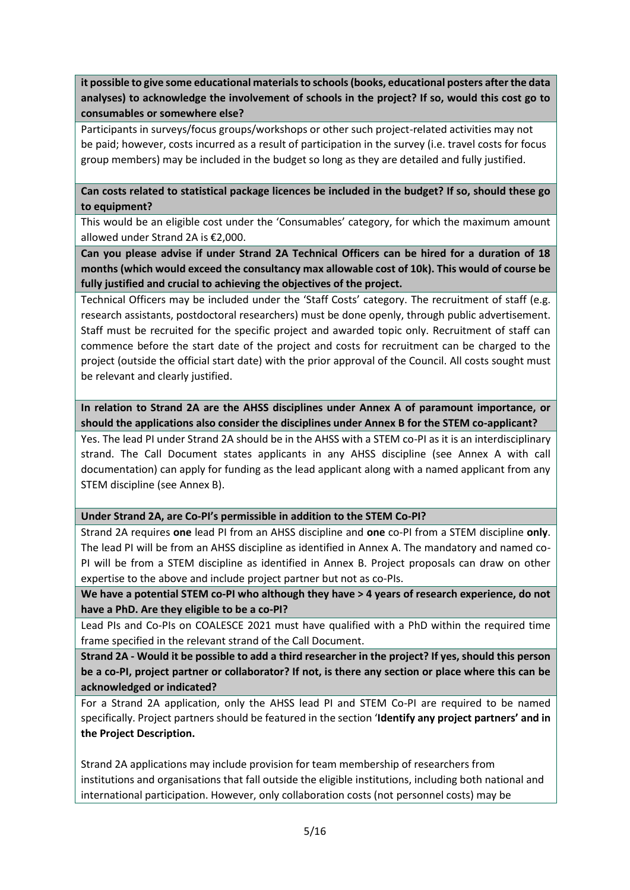**it possible to give some educational materials to schools (books, educational posters after the data analyses) to acknowledge the involvement of schools in the project? If so, would this cost go to consumables or somewhere else?**

Participants in surveys/focus groups/workshops or other such project-related activities may not be paid; however, costs incurred as a result of participation in the survey (i.e. travel costs for focus group members) may be included in the budget so long as they are detailed and fully justified.

**Can costs related to statistical package licences be included in the budget? If so, should these go to equipment?**

This would be an eligible cost under the 'Consumables' category, for which the maximum amount allowed under Strand 2A is €2,000.

**Can you please advise if under Strand 2A Technical Officers can be hired for a duration of 18 months (which would exceed the consultancy max allowable cost of 10k). This would of course be fully justified and crucial to achieving the objectives of the project.**

Technical Officers may be included under the 'Staff Costs' category. The recruitment of staff (e.g. research assistants, postdoctoral researchers) must be done openly, through public advertisement. Staff must be recruited for the specific project and awarded topic only. Recruitment of staff can commence before the start date of the project and costs for recruitment can be charged to the project (outside the official start date) with the prior approval of the Council. All costs sought must be relevant and clearly justified.

**In relation to Strand 2A are the AHSS disciplines under Annex A of paramount importance, or should the applications also consider the disciplines under Annex B for the STEM co-applicant?**

Yes. The lead PI under Strand 2A should be in the AHSS with a STEM co-PI as it is an interdisciplinary strand. The Call Document states applicants in any AHSS discipline (see Annex A with call documentation) can apply for funding as the lead applicant along with a named applicant from any STEM discipline (see Annex B).

**Under Strand 2A, are Co-PI's permissible in addition to the STEM Co-PI?**

Strand 2A requires **one** lead PI from an AHSS discipline and **one** co-PI from a STEM discipline **only**. The lead PI will be from an AHSS discipline as identified in Annex A. The mandatory and named co-PI will be from a STEM discipline as identified in Annex B. Project proposals can draw on other expertise to the above and include project partner but not as co-PIs.

**We have a potential STEM co-PI who although they have > 4 years of research experience, do not have a PhD. Are they eligible to be a co-PI?**

Lead PIs and Co-PIs on COALESCE 2021 must have qualified with a PhD within the required time frame specified in the relevant strand of the Call Document.

**Strand 2A - Would it be possible to add a third researcher in the project? If yes, should this person be a co-PI, project partner or collaborator? If not, is there any section or place where this can be acknowledged or indicated?**

For a Strand 2A application, only the AHSS lead PI and STEM Co-PI are required to be named specifically. Project partners should be featured in the section '**Identify any project partners' and in the Project Description.** 

Strand 2A applications may include provision for team membership of researchers from institutions and organisations that fall outside the eligible institutions, including both national and international participation. However, only collaboration costs (not personnel costs) may be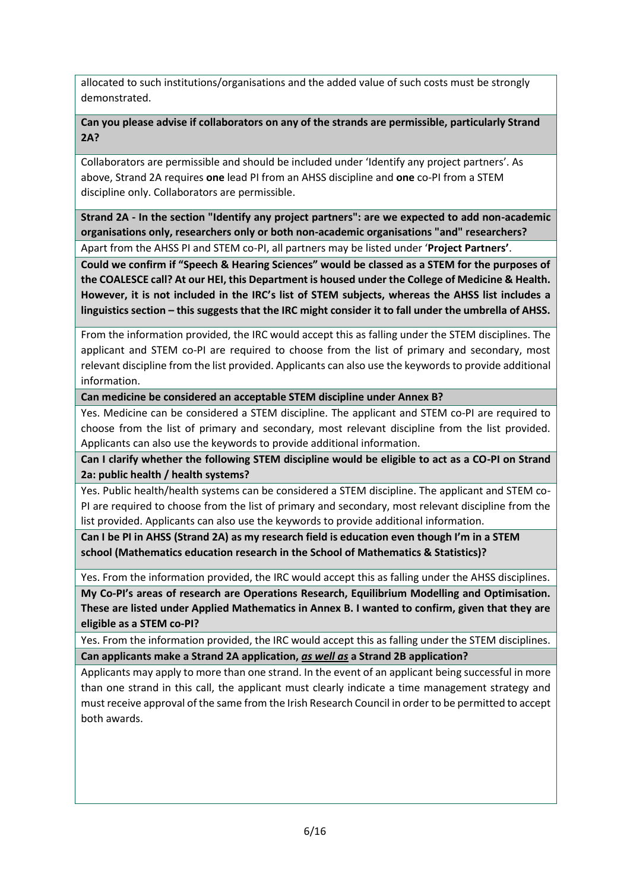allocated to such institutions/organisations and the added value of such costs must be strongly demonstrated.

**Can you please advise if collaborators on any of the strands are permissible, particularly Strand 2A?**

Collaborators are permissible and should be included under 'Identify any project partners'. As above, Strand 2A requires **one** lead PI from an AHSS discipline and **one** co-PI from a STEM discipline only. Collaborators are permissible.

**Strand 2A - In the section "Identify any project partners": are we expected to add non-academic organisations only, researchers only or both non-academic organisations "and" researchers?** Apart from the AHSS PI and STEM co-PI, all partners may be listed under '**Project Partners'**.

**Could we confirm if "Speech & Hearing Sciences" would be classed as a STEM for the purposes of the COALESCE call? At our HEI, this Department is housed under the College of Medicine & Health. However, it is not included in the IRC's list of STEM subjects, whereas the AHSS list includes a linguistics section – this suggests that the IRC might consider it to fall under the umbrella of AHSS.** 

From the information provided, the IRC would accept this as falling under the STEM disciplines. The applicant and STEM co-PI are required to choose from the list of primary and secondary, most relevant discipline from the list provided. Applicants can also use the keywords to provide additional information.

**Can medicine be considered an acceptable STEM discipline under Annex B?**

Yes. Medicine can be considered a STEM discipline. The applicant and STEM co-PI are required to choose from the list of primary and secondary, most relevant discipline from the list provided. Applicants can also use the keywords to provide additional information.

**Can I clarify whether the following STEM discipline would be eligible to act as a CO-PI on Strand 2a: public health / health systems?**

Yes. Public health/health systems can be considered a STEM discipline. The applicant and STEM co-PI are required to choose from the list of primary and secondary, most relevant discipline from the list provided. Applicants can also use the keywords to provide additional information.

**Can I be PI in AHSS (Strand 2A) as my research field is education even though I'm in a STEM school (Mathematics education research in the School of Mathematics & Statistics)?**

Yes. From the information provided, the IRC would accept this as falling under the AHSS disciplines.

**My Co-PI's areas of research are Operations Research, Equilibrium Modelling and Optimisation. These are listed under Applied Mathematics in Annex B. I wanted to confirm, given that they are eligible as a STEM co-PI?**

Yes. From the information provided, the IRC would accept this as falling under the STEM disciplines. **Can applicants make a Strand 2A application,** *as well as* **a Strand 2B application?**

Applicants may apply to more than one strand. In the event of an applicant being successful in more than one strand in this call, the applicant must clearly indicate a time management strategy and must receive approval of the same from the Irish Research Council in order to be permitted to accept both awards.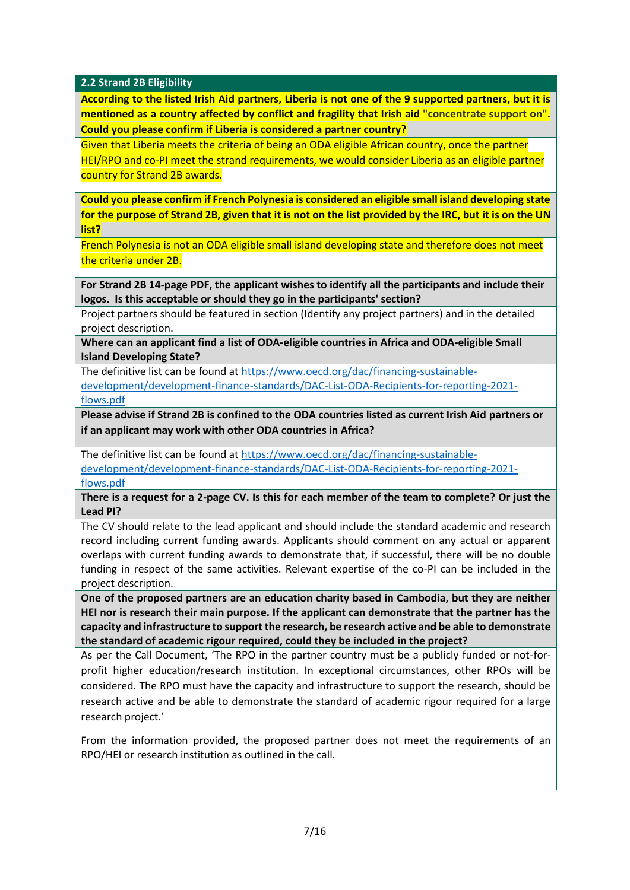**2.2 Strand 2B Eligibility**

**According to the listed Irish Aid partners, Liberia is not one of the 9 supported partners, but it is mentioned as a country affected by conflict and fragility that Irish aid "concentrate support on". Could you please confirm if Liberia is considered a partner country?**

Given that Liberia meets the criteria of being an ODA eligible African country, once the partner HEI/RPO and co-PI meet the strand requirements, we would consider Liberia as an eligible partner country for Strand 2B awards.

**Could you please confirm if French Polynesia is considered an eligible small island developing state for the purpose of Strand 2B, given that it is not on the list provided by the IRC, but it is on the UN list?** 

French Polynesia is not an ODA eligible small island developing state and therefore does not meet the criteria under 2B.

**For Strand 2B 14-page PDF, the applicant wishes to identify all the participants and include their logos. Is this acceptable or should they go in the participants' section?**

Project partners should be featured in section (Identify any project partners) and in the detailed project description.

**Where can an applicant find a list of ODA-eligible countries in Africa and ODA-eligible Small Island Developing State?**

The definitive list can be found at [https://www.oecd.org/dac/financing-sustainable-](https://www.oecd.org/dac/financing-sustainable-development/development-finance-standards/DAC-List-ODA-Recipients-for-reporting-2021-flows.pdf)

[development/development-finance-standards/DAC-List-ODA-Recipients-for-reporting-2021](https://www.oecd.org/dac/financing-sustainable-development/development-finance-standards/DAC-List-ODA-Recipients-for-reporting-2021-flows.pdf) [flows.pdf](https://www.oecd.org/dac/financing-sustainable-development/development-finance-standards/DAC-List-ODA-Recipients-for-reporting-2021-flows.pdf)

**Please advise if Strand 2B is confined to the ODA countries listed as current Irish Aid partners or if an applicant may work with other ODA countries in Africa?**

The definitive list can be found at [https://www.oecd.org/dac/financing-sustainable](https://www.oecd.org/dac/financing-sustainable-development/development-finance-standards/DAC-List-ODA-Recipients-for-reporting-2021-flows.pdf)[development/development-finance-standards/DAC-List-ODA-Recipients-for-reporting-2021](https://www.oecd.org/dac/financing-sustainable-development/development-finance-standards/DAC-List-ODA-Recipients-for-reporting-2021-flows.pdf) [flows.pdf](https://www.oecd.org/dac/financing-sustainable-development/development-finance-standards/DAC-List-ODA-Recipients-for-reporting-2021-flows.pdf)

**There is a request for a 2-page CV. Is this for each member of the team to complete? Or just the Lead PI?**

The CV should relate to the lead applicant and should include the standard academic and research record including current funding awards. Applicants should comment on any actual or apparent overlaps with current funding awards to demonstrate that, if successful, there will be no double funding in respect of the same activities. Relevant expertise of the co-PI can be included in the project description.

**One of the proposed partners are an education charity based in Cambodia, but they are neither HEI nor is research their main purpose. If the applicant can demonstrate that the partner has the capacity and infrastructure to support the research, be research active and be able to demonstrate the standard of academic rigour required, could they be included in the project?**

As per the Call Document, 'The RPO in the partner country must be a publicly funded or not-forprofit higher education/research institution. In exceptional circumstances, other RPOs will be considered. The RPO must have the capacity and infrastructure to support the research, should be research active and be able to demonstrate the standard of academic rigour required for a large research project.'

From the information provided, the proposed partner does not meet the requirements of an RPO/HEI or research institution as outlined in the call.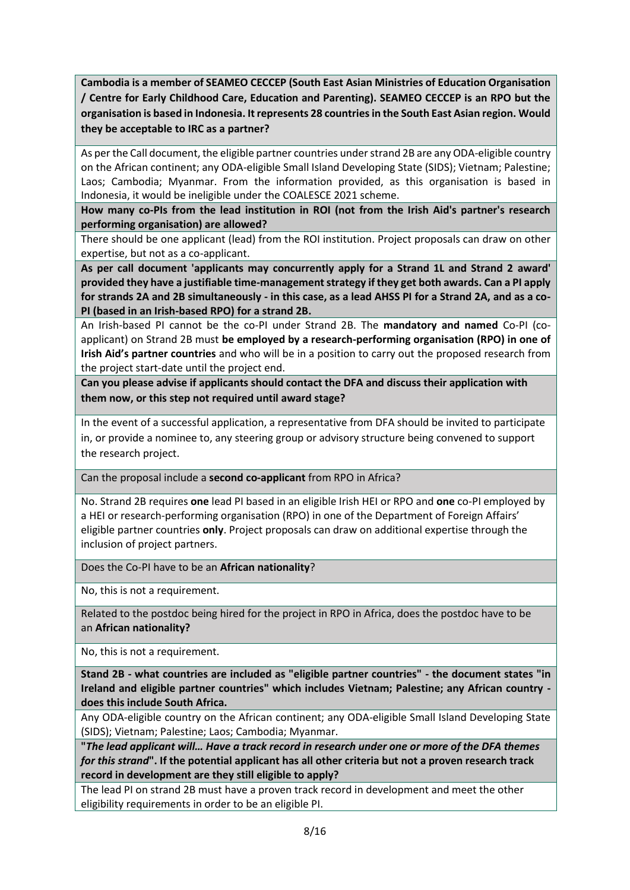**Cambodia is a member of SEAMEO CECCEP (South East Asian Ministries of Education Organisation / Centre for Early Childhood Care, Education and Parenting). SEAMEO CECCEP is an RPO but the organisation is based in Indonesia. It represents 28 countries in the South East Asian region. Would they be acceptable to IRC as a partner?**

As per the Call document, the eligible partner countries under strand 2B are any ODA-eligible country on the African continent; any ODA-eligible Small Island Developing State (SIDS); Vietnam; Palestine; Laos; Cambodia; Myanmar. From the information provided, as this organisation is based in Indonesia, it would be ineligible under the COALESCE 2021 scheme.

**How many co-PIs from the lead institution in ROI (not from the Irish Aid's partner's research performing organisation) are allowed?**

There should be one applicant (lead) from the ROI institution. Project proposals can draw on other expertise, but not as a co-applicant.

**As per call document 'applicants may concurrently apply for a Strand 1L and Strand 2 award' provided they have a justifiable time-management strategy if they get both awards. Can a PI apply for strands 2A and 2B simultaneously - in this case, as a lead AHSS PI for a Strand 2A, and as a co-PI (based in an Irish-based RPO) for a strand 2B.**

An Irish-based PI cannot be the co-PI under Strand 2B. The **mandatory and named** Co-PI (coapplicant) on Strand 2B must **be employed by a research-performing organisation (RPO) in one of Irish Aid's partner countries** and who will be in a position to carry out the proposed research from the project start-date until the project end.

**Can you please advise if applicants should contact the DFA and discuss their application with them now, or this step not required until award stage?**

In the event of a successful application, a representative from DFA should be invited to participate in, or provide a nominee to, any steering group or advisory structure being convened to support the research project.

Can the proposal include a **second co-applicant** from RPO in Africa?

No. Strand 2B requires **one** lead PI based in an eligible Irish HEI or RPO and **one** co-PI employed by a HEI or research-performing organisation (RPO) in one of the Department of Foreign Affairs' eligible partner countries **only**. Project proposals can draw on additional expertise through the inclusion of project partners.

Does the Co-PI have to be an **African nationality**?

No, this is not a requirement.

Related to the postdoc being hired for the project in RPO in Africa, does the postdoc have to be an **African nationality?**

No, this is not a requirement.

**Stand 2B - what countries are included as "eligible partner countries" - the document states "in Ireland and eligible partner countries" which includes Vietnam; Palestine; any African country does this include South Africa.**

Any ODA-eligible country on the African continent; any ODA-eligible Small Island Developing State (SIDS); Vietnam; Palestine; Laos; Cambodia; Myanmar.

**"***The lead applicant will… Have a track record in research under one or more of the DFA themes for this strand***". If the potential applicant has all other criteria but not a proven research track record in development are they still eligible to apply?**

The lead PI on strand 2B must have a proven track record in development and meet the other eligibility requirements in order to be an eligible PI.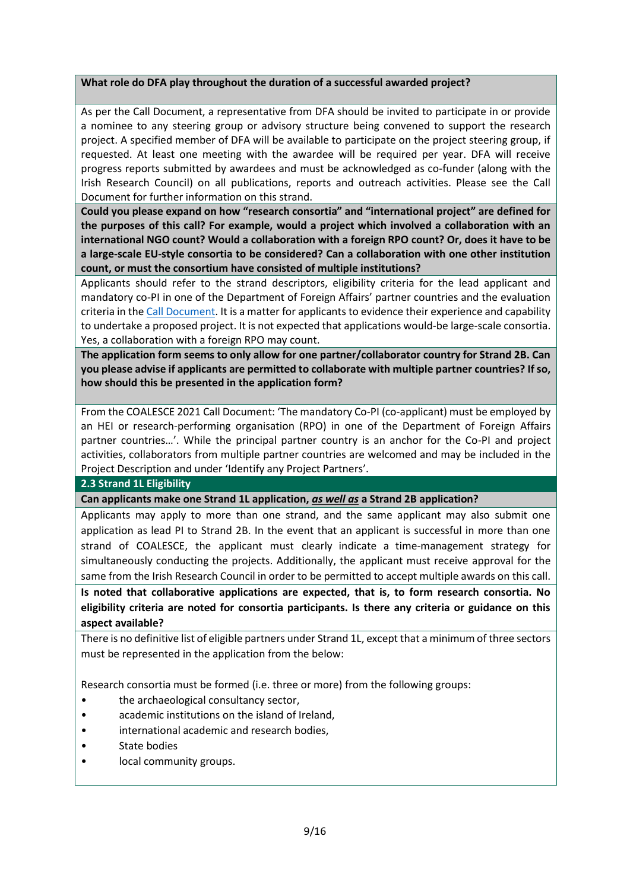## **What role do DFA play throughout the duration of a successful awarded project?**

As per the Call Document, a representative from DFA should be invited to participate in or provide a nominee to any steering group or advisory structure being convened to support the research project. A specified member of DFA will be available to participate on the project steering group, if requested. At least one meeting with the awardee will be required per year. DFA will receive progress reports submitted by awardees and must be acknowledged as co-funder (along with the Irish Research Council) on all publications, reports and outreach activities. Please see the Call Document for further information on this strand.

**Could you please expand on how "research consortia" and "international project" are defined for the purposes of this call? For example, would a project which involved a collaboration with an international NGO count? Would a collaboration with a foreign RPO count? Or, does it have to be a large-scale EU-style consortia to be considered? Can a collaboration with one other institution count, or must the consortium have consisted of multiple institutions?**

Applicants should refer to the strand descriptors, eligibility criteria for the lead applicant and mandatory co-PI in one of the Department of Foreign Affairs' partner countries and the evaluation criteria in th[e Call](http://research.ie/assets/uploads/2018/05/COALESCE-2020-Terms-and-Conditions_FINAL.pdf) [Document.](https://research.ie/assets/uploads/2021/09/COALESCE-Scheme-2021_Final.pdf) It is a matter for applicants to evidence their experience and capability to undertake a proposed project. It is not expected that applications would-be large-scale consortia. Yes, a collaboration with a foreign RPO may count.

**The application form seems to only allow for one partner/collaborator country for Strand 2B. Can you please advise if applicants are permitted to collaborate with multiple partner countries? If so, how should this be presented in the application form?**

From the COALESCE 2021 Call Document: 'The mandatory Co-PI (co-applicant) must be employed by an HEI or research-performing organisation (RPO) in one of the Department of Foreign Affairs partner countries…'. While the principal partner country is an anchor for the Co-PI and project activities, collaborators from multiple partner countries are welcomed and may be included in the Project Description and under 'Identify any Project Partners'.

## **2.3 Strand 1L Eligibility**

**Can applicants make one Strand 1L application,** *as well as* **a Strand 2B application?**

Applicants may apply to more than one strand, and the same applicant may also submit one application as lead PI to Strand 2B. In the event that an applicant is successful in more than one strand of COALESCE, the applicant must clearly indicate a time-management strategy for simultaneously conducting the projects. Additionally, the applicant must receive approval for the same from the Irish Research Council in order to be permitted to accept multiple awards on this call.

**Is noted that collaborative applications are expected, that is, to form research consortia. No eligibility criteria are noted for consortia participants. Is there any criteria or guidance on this aspect available?**

There is no definitive list of eligible partners under Strand 1L, except that a minimum of three sectors must be represented in the application from the below:

Research consortia must be formed (i.e. three or more) from the following groups:

- the archaeological consultancy sector,
- academic institutions on the island of Ireland,
- international academic and research bodies,
- State bodies
- local community groups.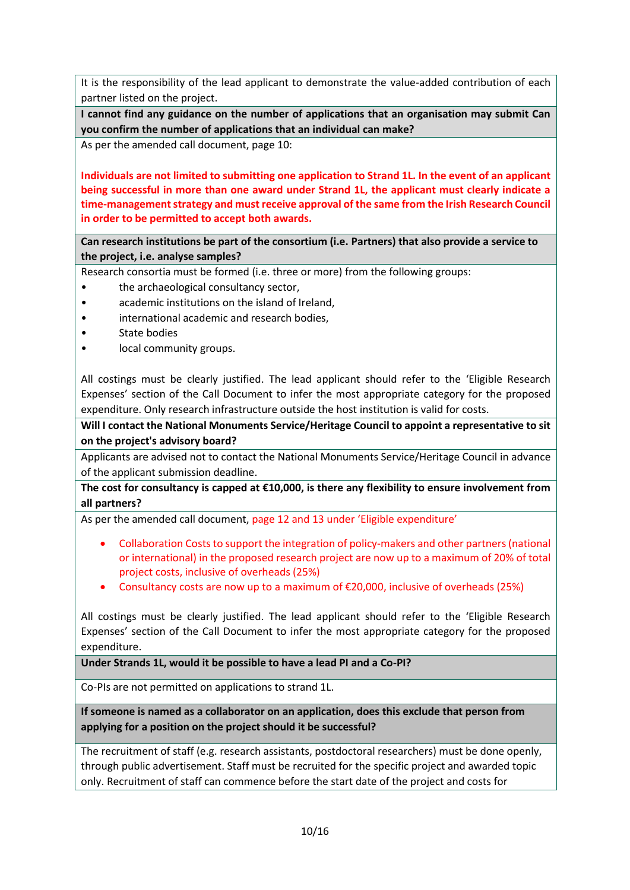It is the responsibility of the lead applicant to demonstrate the value-added contribution of each partner listed on the project.

**I cannot find any guidance on the number of applications that an organisation may submit Can you confirm the number of applications that an individual can make?**

As per the amended call document, page 10:

**Individuals are not limited to submitting one application to Strand 1L. In the event of an applicant being successful in more than one award under Strand 1L, the applicant must clearly indicate a time-management strategy and must receive approval of the same from the Irish Research Council in order to be permitted to accept both awards.**

**Can research institutions be part of the consortium (i.e. Partners) that also provide a service to the project, i.e. analyse samples?**

Research consortia must be formed (i.e. three or more) from the following groups:

- the archaeological consultancy sector,
- academic institutions on the island of Ireland,
- international academic and research bodies,
- State bodies
- local community groups.

All costings must be clearly justified. The lead applicant should refer to the 'Eligible Research Expenses' section of the Call Document to infer the most appropriate category for the proposed expenditure. Only research infrastructure outside the host institution is valid for costs.

**Will I contact the National Monuments Service/Heritage Council to appoint a representative to sit on the project's advisory board?** 

Applicants are advised not to contact the National Monuments Service/Heritage Council in advance of the applicant submission deadline.

**The cost for consultancy is capped at €10,000, is there any flexibility to ensure involvement from all partners?**

As per the amended call document, page 12 and 13 under 'Eligible expenditure'

- Collaboration Costs to support the integration of policy-makers and other partners (national or international) in the proposed research project are now up to a maximum of 20% of total project costs, inclusive of overheads (25%)
- Consultancy costs are now up to a maximum of €20,000, inclusive of overheads (25%)

All costings must be clearly justified. The lead applicant should refer to the 'Eligible Research Expenses' section of the Call Document to infer the most appropriate category for the proposed expenditure.

**Under Strands 1L, would it be possible to have a lead PI and a Co-PI?**

Co-PIs are not permitted on applications to strand 1L.

**If someone is named as a collaborator on an application, does this exclude that person from applying for a position on the project should it be successful?**

The recruitment of staff (e.g. research assistants, postdoctoral researchers) must be done openly, through public advertisement. Staff must be recruited for the specific project and awarded topic only. Recruitment of staff can commence before the start date of the project and costs for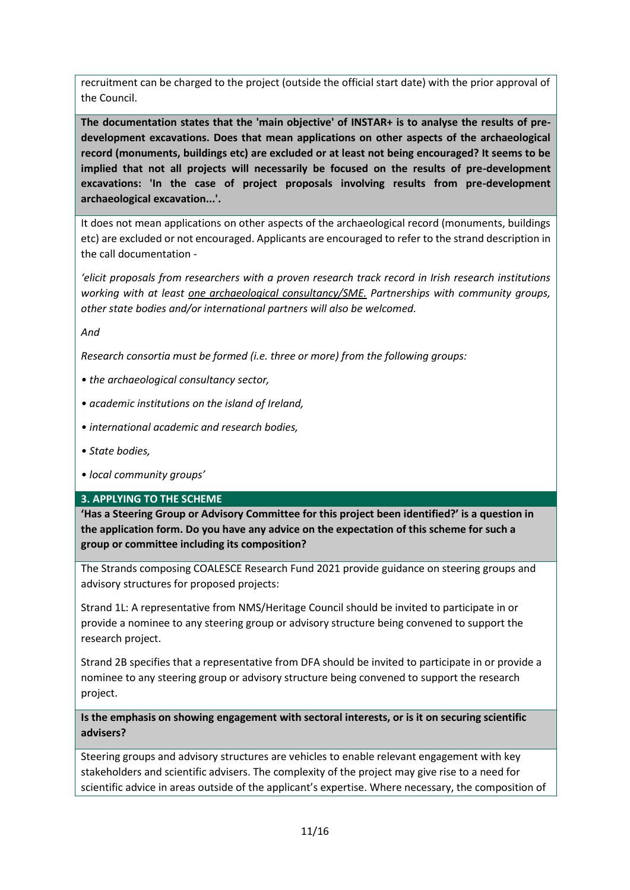recruitment can be charged to the project (outside the official start date) with the prior approval of the Council.

**The documentation states that the 'main objective' of INSTAR+ is to analyse the results of predevelopment excavations. Does that mean applications on other aspects of the archaeological record (monuments, buildings etc) are excluded or at least not being encouraged? It seems to be implied that not all projects will necessarily be focused on the results of pre-development excavations: 'In the case of project proposals involving results from pre-development archaeological excavation...'.**

It does not mean applications on other aspects of the archaeological record (monuments, buildings etc) are excluded or not encouraged. Applicants are encouraged to refer to the strand description in the call documentation -

*'elicit proposals from researchers with a proven research track record in Irish research institutions working with at least one archaeological consultancy/SME. Partnerships with community groups, other state bodies and/or international partners will also be welcomed.*

*And*

*Research consortia must be formed (i.e. three or more) from the following groups:* 

- *the archaeological consultancy sector,*
- *academic institutions on the island of Ireland,*
- *international academic and research bodies,*
- *State bodies,*
- *local community groups'*

#### **3. APPLYING TO THE SCHEME**

**'Has a Steering Group or Advisory Committee for this project been identified?' is a question in the application form. Do you have any advice on the expectation of this scheme for such a group or committee including its composition?**

The Strands composing COALESCE Research Fund 2021 provide guidance on steering groups and advisory structures for proposed projects:

Strand 1L: A representative from NMS/Heritage Council should be invited to participate in or provide a nominee to any steering group or advisory structure being convened to support the research project.

Strand 2B specifies that a representative from DFA should be invited to participate in or provide a nominee to any steering group or advisory structure being convened to support the research project.

**Is the emphasis on showing engagement with sectoral interests, or is it on securing scientific advisers?** 

Steering groups and advisory structures are vehicles to enable relevant engagement with key stakeholders and scientific advisers. The complexity of the project may give rise to a need for scientific advice in areas outside of the applicant's expertise. Where necessary, the composition of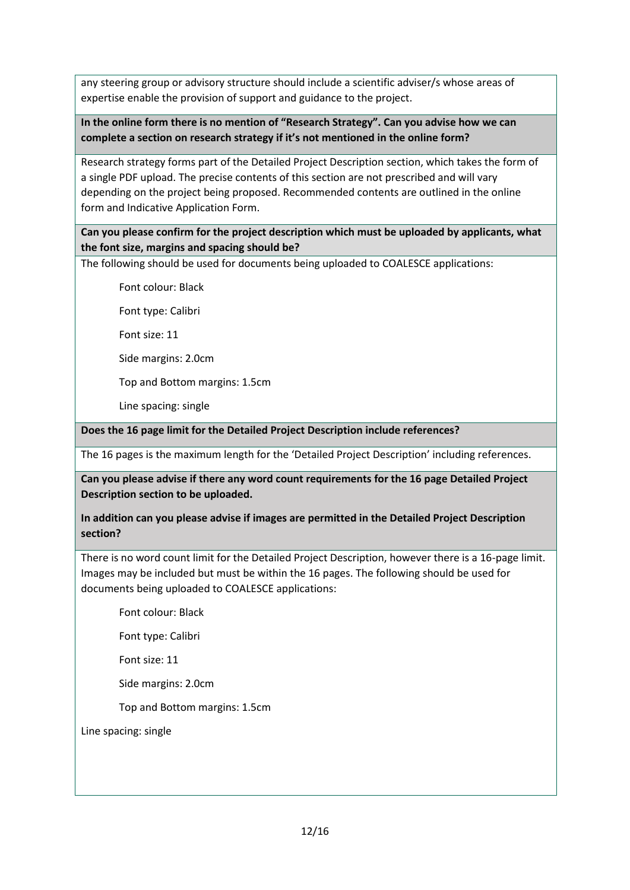any steering group or advisory structure should include a scientific adviser/s whose areas of expertise enable the provision of support and guidance to the project.

# **In the online form there is no mention of "Research Strategy". Can you advise how we can complete a section on research strategy if it's not mentioned in the online form?**

Research strategy forms part of the Detailed Project Description section, which takes the form of a single PDF upload. The precise contents of this section are not prescribed and will vary depending on the project being proposed. Recommended contents are outlined in the online form and Indicative Application Form.

**Can you please confirm for the project description which must be uploaded by applicants, what the font size, margins and spacing should be?**

The following should be used for documents being uploaded to COALESCE applications:

Font colour: Black

Font type: Calibri

Font size: 11

Side margins: 2.0cm

Top and Bottom margins: 1.5cm

Line spacing: single

**Does the 16 page limit for the Detailed Project Description include references?**

The 16 pages is the maximum length for the 'Detailed Project Description' including references.

**Can you please advise if there any word count requirements for the 16 page Detailed Project Description section to be uploaded.**

**In addition can you please advise if images are permitted in the Detailed Project Description section?**

There is no word count limit for the Detailed Project Description, however there is a 16-page limit. Images may be included but must be within the 16 pages. The following should be used for documents being uploaded to COALESCE applications:

Font colour: Black

Font type: Calibri

Font size: 11

Side margins: 2.0cm

Top and Bottom margins: 1.5cm

Line spacing: single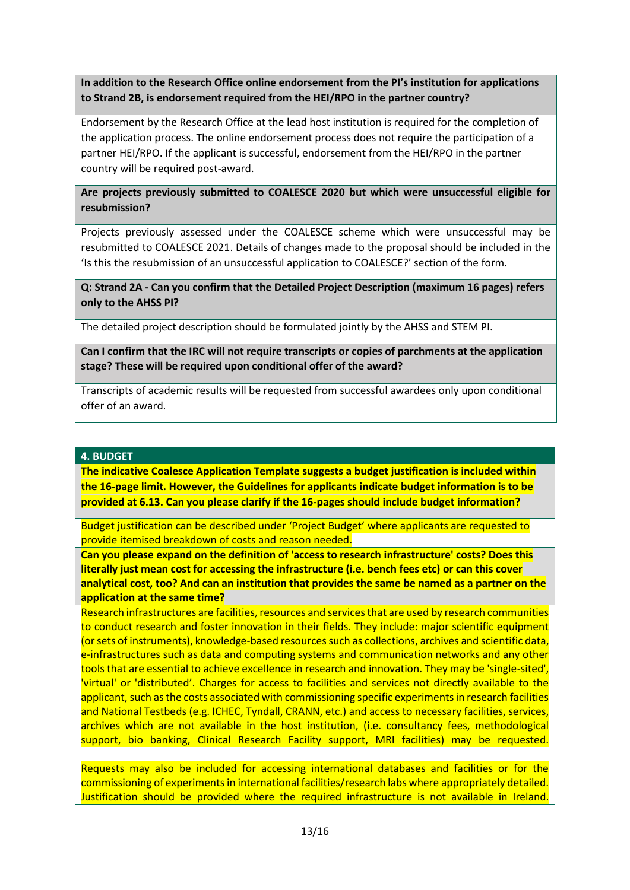**In addition to the Research Office online endorsement from the PI's institution for applications to Strand 2B, is endorsement required from the HEI/RPO in the partner country?**

Endorsement by the Research Office at the lead host institution is required for the completion of the application process. The online endorsement process does not require the participation of a partner HEI/RPO. If the applicant is successful, endorsement from the HEI/RPO in the partner country will be required post-award.

## **Are projects previously submitted to COALESCE 2020 but which were unsuccessful eligible for resubmission?**

Projects previously assessed under the COALESCE scheme which were unsuccessful may be resubmitted to COALESCE 2021. Details of changes made to the proposal should be included in the 'Is this the resubmission of an unsuccessful application to COALESCE?' section of the form.

**Q: Strand 2A - Can you confirm that the Detailed Project Description (maximum 16 pages) refers only to the AHSS PI?**

The detailed project description should be formulated jointly by the AHSS and STEM PI.

**Can I confirm that the IRC will not require transcripts or copies of parchments at the application stage? These will be required upon conditional offer of the award?**

Transcripts of academic results will be requested from successful awardees only upon conditional offer of an award.

#### **4. BUDGET**

**The indicative Coalesce Application Template suggests a budget justification is included within the 16-page limit. However, the Guidelines for applicants indicate budget information is to be provided at 6.13. Can you please clarify if the 16-pages should include budget information?**

Budget justification can be described under 'Project Budget' where applicants are requested to provide itemised breakdown of costs and reason needed.

**Can you please expand on the definition of 'access to research infrastructure' costs? Does this literally just mean cost for accessing the infrastructure (i.e. bench fees etc) or can this cover analytical cost, too? And can an institution that provides the same be named as a partner on the application at the same time?**

Research infrastructures are facilities, resources and services that are used by research communities to conduct research and foster innovation in their fields. They include: major scientific equipment (or sets of instruments), knowledge-based resources such as collections, archives and scientific data, e-infrastructures such as data and computing systems and communication networks and any other tools that are essential to achieve excellence in research and innovation. They may be 'single-sited', 'virtual' or 'distributed'. Charges for access to facilities and services not directly available to the applicant, such as the costs associated with commissioning specific experiments in research facilities and National Testbeds (e.g. ICHEC, Tyndall, CRANN, etc.) and access to necessary facilities, services, archives which are not available in the host institution, (i.e. consultancy fees, methodological support, bio banking, Clinical Research Facility support, MRI facilities) may be requested.

Requests may also be included for accessing international databases and facilities or for the commissioning of experiments in international facilities/research labs where appropriately detailed. Justification should be provided where the required infrastructure is not available in Ireland.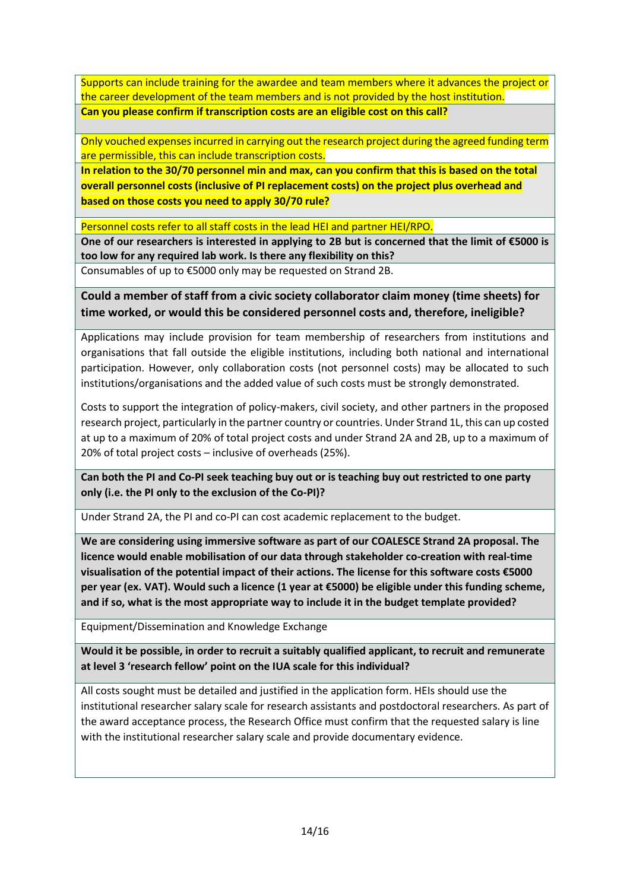Supports can include training for the awardee and team members where it advances the project or the career development of the team members and is not provided by the host institution. **Can you please confirm if transcription costs are an eligible cost on this call?**

Only vouched expenses incurred in carrying out the research project during the agreed funding term are permissible, this can include transcription costs.

**In relation to the 30/70 personnel min and max, can you confirm that this is based on the total overall personnel costs (inclusive of PI replacement costs) on the project plus overhead and based on those costs you need to apply 30/70 rule?** 

Personnel costs refer to all staff costs in the lead HEI and partner HEI/RPO.

**One of our researchers is interested in applying to 2B but is concerned that the limit of €5000 is too low for any required lab work. Is there any flexibility on this?**

Consumables of up to €5000 only may be requested on Strand 2B.

**Could a member of staff from a civic society collaborator claim money (time sheets) for time worked, or would this be considered personnel costs and, therefore, ineligible?**

Applications may include provision for team membership of researchers from institutions and organisations that fall outside the eligible institutions, including both national and international participation. However, only collaboration costs (not personnel costs) may be allocated to such institutions/organisations and the added value of such costs must be strongly demonstrated.

Costs to support the integration of policy-makers, civil society, and other partners in the proposed research project, particularly in the partner country or countries. Under Strand 1L, this can up costed at up to a maximum of 20% of total project costs and under Strand 2A and 2B, up to a maximum of 20% of total project costs – inclusive of overheads (25%).

**Can both the PI and Co-PI seek teaching buy out or is teaching buy out restricted to one party only (i.e. the PI only to the exclusion of the Co-PI)?**

Under Strand 2A, the PI and co-PI can cost academic replacement to the budget.

**We are considering using immersive software as part of our COALESCE Strand 2A proposal. The licence would enable mobilisation of our data through stakeholder co-creation with real-time visualisation of the potential impact of their actions. The license for this software costs €5000 per year (ex. VAT). Would such a licence (1 year at €5000) be eligible under this funding scheme, and if so, what is the most appropriate way to include it in the budget template provided?**

Equipment/Dissemination and Knowledge Exchange

**Would it be possible, in order to recruit a suitably qualified applicant, to recruit and remunerate at level 3 'research fellow' point on the IUA scale for this individual?** 

All costs sought must be detailed and justified in the application form. HEIs should use the institutional researcher salary scale for research assistants and postdoctoral researchers. As part of the award acceptance process, the Research Office must confirm that the requested salary is line with the institutional researcher salary scale and provide documentary evidence.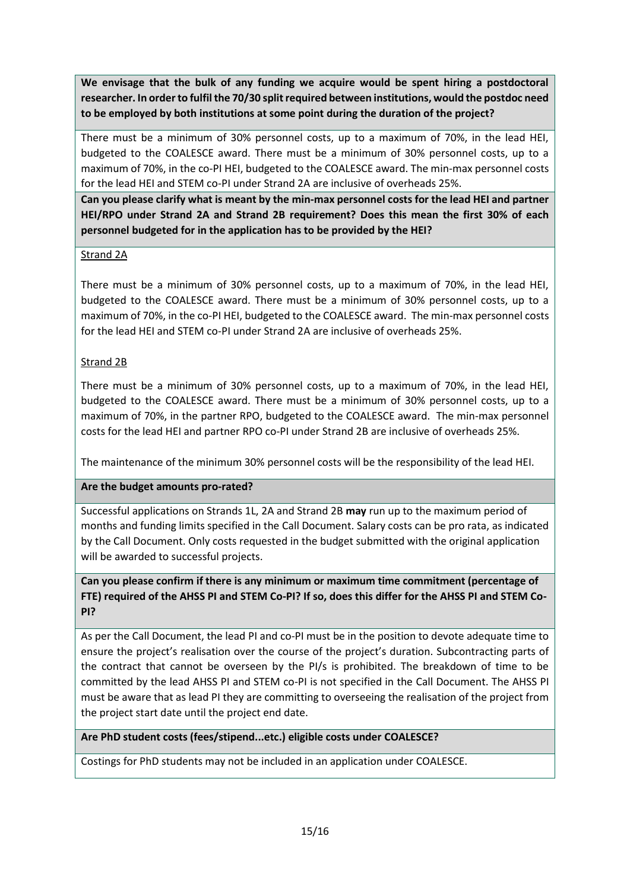**We envisage that the bulk of any funding we acquire would be spent hiring a postdoctoral researcher. In order to fulfil the 70/30 split required between institutions, would the postdoc need to be employed by both institutions at some point during the duration of the project?**

There must be a minimum of 30% personnel costs, up to a maximum of 70%, in the lead HEI, budgeted to the COALESCE award. There must be a minimum of 30% personnel costs, up to a maximum of 70%, in the co-PI HEI, budgeted to the COALESCE award. The min-max personnel costs for the lead HEI and STEM co-PI under Strand 2A are inclusive of overheads 25%.

**Can you please clarify what is meant by the min-max personnel costs for the lead HEI and partner HEI/RPO under Strand 2A and Strand 2B requirement? Does this mean the first 30% of each personnel budgeted for in the application has to be provided by the HEI?**

## Strand 2A

There must be a minimum of 30% personnel costs, up to a maximum of 70%, in the lead HEI, budgeted to the COALESCE award. There must be a minimum of 30% personnel costs, up to a maximum of 70%, in the co-PI HEI, budgeted to the COALESCE award. The min-max personnel costs for the lead HEI and STEM co-PI under Strand 2A are inclusive of overheads 25%.

# Strand 2B

There must be a minimum of 30% personnel costs, up to a maximum of 70%, in the lead HEI, budgeted to the COALESCE award. There must be a minimum of 30% personnel costs, up to a maximum of 70%, in the partner RPO, budgeted to the COALESCE award. The min-max personnel costs for the lead HEI and partner RPO co-PI under Strand 2B are inclusive of overheads 25%.

The maintenance of the minimum 30% personnel costs will be the responsibility of the lead HEI.

## **Are the budget amounts pro-rated?**

Successful applications on Strands 1L, 2A and Strand 2B **may** run up to the maximum period of months and funding limits specified in the Call Document. Salary costs can be pro rata, as indicated by the Call Document. Only costs requested in the budget submitted with the original application will be awarded to successful projects.

# **Can you please confirm if there is any minimum or maximum time commitment (percentage of FTE) required of the AHSS PI and STEM Co-PI? If so, does this differ for the AHSS PI and STEM Co-PI?**

As per the Call Document, the lead PI and co-PI must be in the position to devote adequate time to ensure the project's realisation over the course of the project's duration. Subcontracting parts of the contract that cannot be overseen by the PI/s is prohibited. The breakdown of time to be committed by the lead AHSS PI and STEM co-PI is not specified in the Call Document. The AHSS PI must be aware that as lead PI they are committing to overseeing the realisation of the project from the project start date until the project end date.

## **Are PhD student costs (fees/stipend...etc.) eligible costs under COALESCE?**

Costings for PhD students may not be included in an application under COALESCE.